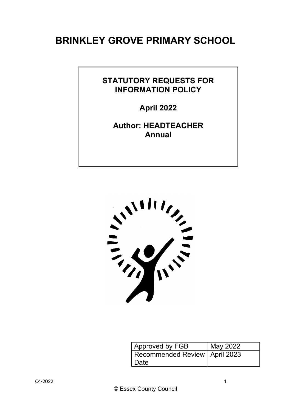# **BRINKLEY GROVE PRIMARY SCHOOL**

# **STATUTORY REQUESTS FOR INFORMATION POLICY**

**April 2022**

**Author: HEADTEACHER Annual**



| Approved by FGB                 | May 2022 |
|---------------------------------|----------|
| Recommended Review   April 2023 |          |
| Date                            |          |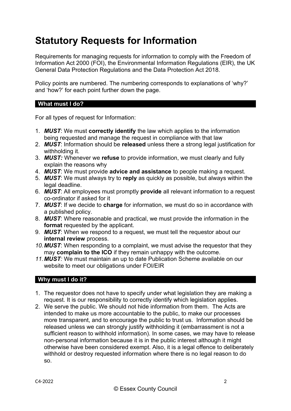# **Statutory Requests for Information**

Requirements for managing requests for information to comply with the Freedom of Information Act 2000 (FOI), the Environmental Information Regulations (EIR), the UK General Data Protection Regulations and the Data Protection Act 2018.

Policy points are numbered. The numbering corresponds to explanations of 'why?' and 'how?' for each point further down the page.

#### **What must I do?**

For all types of request for Information:

- 1. *MUST*: We must **correctly identify** the law which applies to the information being requested and manage the request in compliance with that law
- 2. *MUST*: Information should be **released** unless there a strong legal justification for withholding it.
- 3. *MUST:* Whenever we **refuse** to provide information, we must clearly and fully explain the reasons why
- 4. *MUST*: We must provide **advice and assistance** to people making a request.
- 5. *MUST*: We must always try to **reply** as quickly as possible, but always within the legal deadline.
- 6. *MUST*: All employees must promptly **provide** all relevant information to a request co-ordinator if asked for it
- 7. *MUST*: If we decide to **charge** for information, we must do so in accordance with a published policy.
- 8. *MUST*: Where reasonable and practical, we must provide the information in the **format** requested by the applicant.
- 9. *MUST*: When we respond to a request, we must tell the requestor about our **internal review** process.
- *10.MUST*: When responding to a complaint, we must advise the requestor that they may **complain to the ICO** if they remain unhappy with the outcome.
- *11.MUST:* We must maintain an up to date Publication Scheme available on our website to meet our obligations under FOI/EIR

### **Why must I do it?**

- 1. The requestor does not have to specify under what legislation they are making a request. It is our responsibility to correctly identify which legislation applies.
- 2. We serve the public. We should not hide information from them. The Acts are intended to make us more accountable to the public, to make our processes more transparent, and to encourage the public to trust us. Information should be released unless we can strongly justify withholding it (embarrassment is not a sufficient reason to withhold information). In some cases, we may have to release non-personal information because it is in the public interest although it might otherwise have been considered exempt. Also, it is a legal offence to deliberately withhold or destroy requested information where there is no legal reason to do so.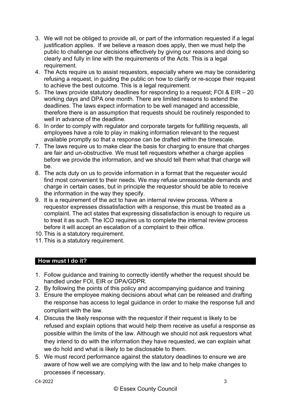- 3. We will not be obliged to provide all, or part of the information requested if a legal justification applies. If we believe a reason does apply, then we must help the public to challenge our decisions effectively by giving our reasons and doing so clearly and fully in line with the requirements of the Acts. This is a legal requirement.
- 4. The Acts require us to assist requestors, especially where we may be considering refusing a request, in guiding the public on how to clarify or re-scope their request to achieve the best outcome. This is a legal requirement.
- 5. The laws provide statutory deadlines for responding to a request; FOI & EIR 20 working days and DPA one month. There are limited reasons to extend the deadlines. The laws expect information to be well managed and accessible, therefore there is an assumption that requests should be routinely responded to well in advance of the deadline.
- 6. In order to comply with regulator and corporate targets for fulfilling requests, all employees have a role to play in making information relevant to the request available promptly so that a response can be drafted within the timescale.
- 7. The laws require us to make clear the basis for charging to ensure that charges are fair and un-obstructive. We must tell requestors whether a charge applies before we provide the information, and we should tell them what that charge will be.
- 8. The acts duty on us to provide information in a format that the requester would find most convenient to their needs. We may refuse unreasonable demands and charge in certain cases, but in principle the requestor should be able to receive the information in the way they specify.
- 9. It is a requirement of the act to have an internal review process. Where a requestor expresses dissatisfaction with a response, this must be treated as a complaint. The act states that expressing dissatisfaction is enough to require us to treat it as such. The ICO requires us to complete the internal review process before it will accept an escalation of a complaint to their office.
- 10.This is a statutory requirement.
- 11.This is a statutory requirement.

## **How must I do it?**

- 1. Follow guidance and training to correctly identify whether the request should be handled under FOI, EIR or DPA/GDPR.
- 2. By following the points of this policy and accompanying guidance and training
- 3. Ensure the employee making decisions about what can be released and drafting the response has access to legal guidance in order to make the response full and compliant with the law.
- 4. Discuss the likely response with the requestor if their request is likely to be refused and explain options that would help them receive as useful a response as possible within the limits of the law. Although we should not ask requestors what they intend to do with the information they have requested, we can explain what we do hold and what is likely to be disclosable to them.
- 5. We must record performance against the statutory deadlines to ensure we are aware of how well we are complying with the law and to help make changes to processes if necessary.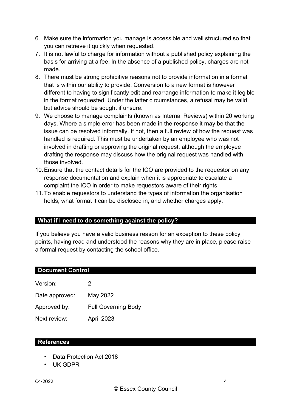- 6. Make sure the information you manage is accessible and well structured so that you can retrieve it quickly when requested.
- 7. It is not lawful to charge for information without a published policy explaining the basis for arriving at a fee. In the absence of a published policy, charges are not made.
- 8. There must be strong prohibitive reasons not to provide information in a format that is within our ability to provide. Conversion to a new format is however different to having to significantly edit and rearrange information to make it legible in the format requested. Under the latter circumstances, a refusal may be valid, but advice should be sought if unsure.
- 9. We choose to manage complaints (known as Internal Reviews) within 20 working days. Where a simple error has been made in the response it may be that the issue can be resolved informally. If not, then a full review of how the request was handled is required. This must be undertaken by an employee who was not involved in drafting or approving the original request, although the employee drafting the response may discuss how the original request was handled with those involved.
- 10.Ensure that the contact details for the ICO are provided to the requestor on any response documentation and explain when it is appropriate to escalate a complaint the ICO in order to make requestors aware of their rights
- 11.To enable requestors to understand the types of information the organisation holds, what format it can be disclosed in, and whether charges apply.

### **What if I need to do something against the policy?**

If you believe you have a valid business reason for an exception to these policy points, having read and understood the reasons why they are in place, please raise a formal request by contacting the school office.

#### **Document Control**

| Version:       | 2                          |
|----------------|----------------------------|
| Date approved: | May 2022                   |
| Approved by:   | <b>Full Governing Body</b> |
| Next review:   | April 2023                 |

#### **References**

- Data Protection Act 2018
- UK GDPR